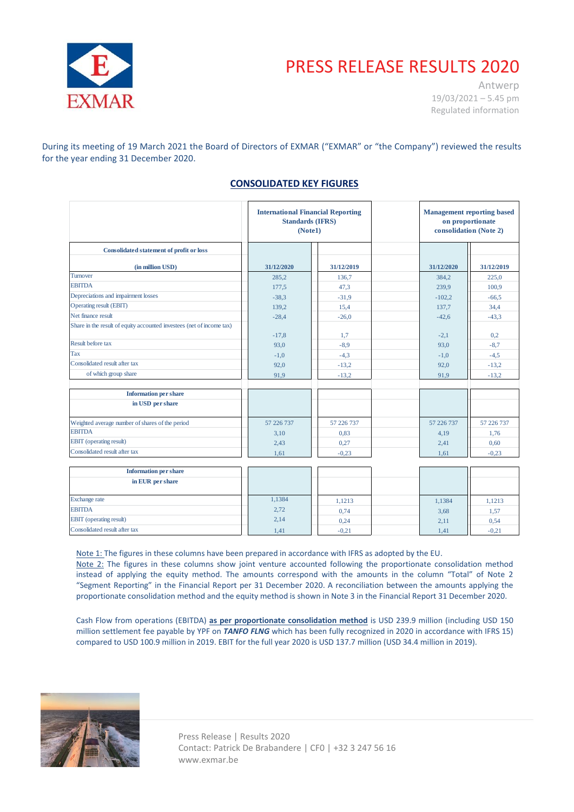

# PRESS RELEASE RESULTS 2020

Antwerp 19/03/2021 – 5.45 pm Regulated information

During its meeting of 19 March 2021 the Board of Directors of EXMAR ("EXMAR" or "the Company") reviewed the results for the year ending 31 December 2020.

# **CONSOLIDATED KEY FIGURES**

|                                                                       | <b>International Financial Reporting</b><br><b>Standards (IFRS)</b><br>(Note1) |            | <b>Management reporting based</b><br>on proportionate<br>consolidation (Note 2) |            |            |
|-----------------------------------------------------------------------|--------------------------------------------------------------------------------|------------|---------------------------------------------------------------------------------|------------|------------|
| <b>Consolidated statement of profit or loss</b>                       |                                                                                |            |                                                                                 |            |            |
| (in million USD)                                                      | 31/12/2020                                                                     | 31/12/2019 |                                                                                 | 31/12/2020 | 31/12/2019 |
| Turnover                                                              | 285,2                                                                          | 136.7      |                                                                                 | 384,2      | 225,0      |
| <b>EBITDA</b>                                                         | 177,5                                                                          | 47.3       |                                                                                 | 239,9      | 100,9      |
| Depreciations and impairment losses                                   | $-38,3$                                                                        | $-31.9$    |                                                                                 | $-102,2$   | $-66.5$    |
| Operating result (EBIT)                                               | 139,2                                                                          | 15.4       |                                                                                 | 137.7      | 34.4       |
| Net finance result                                                    | $-28,4$                                                                        | $-26,0$    |                                                                                 | $-42,6$    | $-43,3$    |
| Share in the result of equity accounted investees (net of income tax) | $-17,8$                                                                        | 1,7        |                                                                                 | $-2,1$     | 0,2        |
| Result before tax                                                     | 93,0                                                                           | $-8,9$     |                                                                                 | 93,0       | $-8,7$     |
| Tax                                                                   | $-1,0$                                                                         | $-4,3$     |                                                                                 | $-1,0$     | $-4,5$     |
| Consolidated result after tax                                         | 92,0                                                                           | $-13,2$    |                                                                                 | 92,0       | $-13,2$    |
| of which group share                                                  | 91.9                                                                           | $-13,2$    |                                                                                 | 91,9       | $-13,2$    |
| <b>Information per share</b>                                          |                                                                                |            |                                                                                 |            |            |
| in USD per share                                                      |                                                                                |            |                                                                                 |            |            |
| Weighted average number of shares of the period                       | 57 226 737                                                                     | 57 226 737 |                                                                                 | 57 226 737 | 57 226 737 |
| <b>EBITDA</b>                                                         | 3,10                                                                           | 0.83       |                                                                                 | 4.19       | 1.76       |
| <b>EBIT</b> (operating result)                                        | 2,43                                                                           | 0.27       |                                                                                 | 2,41       | 0,60       |
| Consolidated result after tax                                         | 1.61                                                                           | $-0.23$    |                                                                                 | 1.61       | $-0.23$    |
| Information non change                                                |                                                                                |            |                                                                                 |            |            |

| <b>Information per share</b>   |        |         |        |                                 |
|--------------------------------|--------|---------|--------|---------------------------------|
| in EUR per share               |        |         |        |                                 |
| Exchange rate                  | 1,1384 | 1,1213  | 1,1384 | 1,1213                          |
| <b>EBITDA</b>                  | 2,72   | 0,74    | 3.68   | $1,5$ <sup><math>-</math></sup> |
| <b>EBIT</b> (operating result) | 2,14   | 0,24    | 2,11   | 0,54                            |
| Consolidated result after tax  | 1,41   | $-0,21$ | 1,41   | $-0,21$                         |

Note 1: The figures in these columns have been prepared in accordance with IFRS as adopted by the EU.

Note 2: The figures in these columns show joint venture accounted following the proportionate consolidation method instead of applying the equity method. The amounts correspond with the amounts in the column "Total" of Note 2 "Segment Reporting" in the Financial Report per 31 December 2020. A reconciliation between the amounts applying the proportionate consolidation method and the equity method is shown in Note 3 in the Financial Report 31 December 2020.

Cash Flow from operations (EBITDA) **as per proportionate consolidation method** is USD 239.9 million (including USD 150 million settlement fee payable by YPF on *TANFO FLNG* which has been fully recognized in 2020 in accordance with IFRS 15) compared to USD 100.9 million in 2019. EBIT for the full year 2020 is USD 137.7 million (USD 34.4 million in 2019).



 Press Release | Results 2020 Contact: Patrick De Brabandere | CF0 | +32 3 247 56 16 www.exmar.be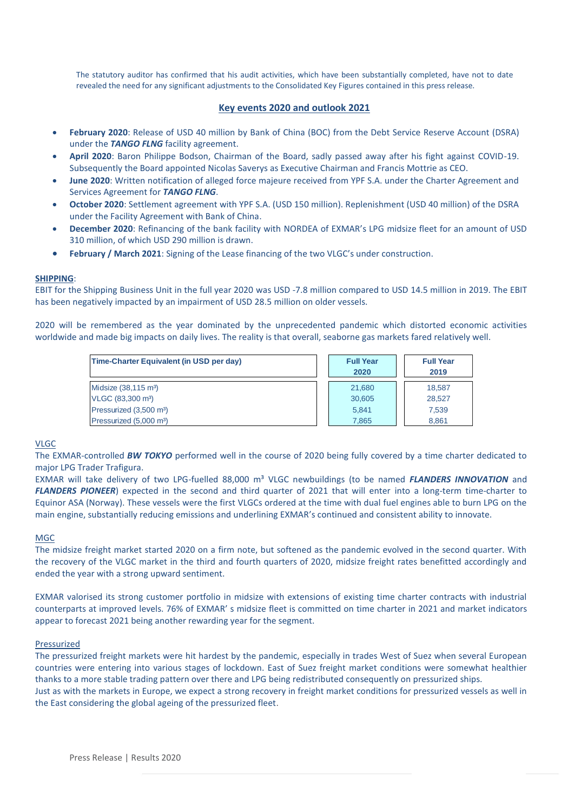The statutory auditor has confirmed that his audit activities, which have been substantially completed, have not to date revealed the need for any significant adjustments to the Consolidated Key Figures contained in this press release.

## **Key events 2020 and outlook 2021**

- **February 2020**: Release of USD 40 million by Bank of China (BOC) from the Debt Service Reserve Account (DSRA) under the *TANGO FLNG* facility agreement.
- **April 2020**: Baron Philippe Bodson, Chairman of the Board, sadly passed away after his fight against COVID-19. Subsequently the Board appointed Nicolas Saverys as Executive Chairman and Francis Mottrie as CEO.
- **June 2020**: Written notification of alleged force majeure received from YPF S.A. under the Charter Agreement and Services Agreement for *TANGO FLNG*.
- **October 2020**: Settlement agreement with YPF S.A. (USD 150 million). Replenishment (USD 40 million) of the DSRA under the Facility Agreement with Bank of China.
- **December 2020**: Refinancing of the bank facility with NORDEA of EXMAR's LPG midsize fleet for an amount of USD 310 million, of which USD 290 million is drawn.
- **February / March 2021**: Signing of the Lease financing of the two VLGC's under construction.

#### **SHIPPING**:

EBIT for the Shipping Business Unit in the full year 2020 was USD -7.8 million compared to USD 14.5 million in 2019. The EBIT has been negatively impacted by an impairment of USD 28.5 million on older vessels.

2020 will be remembered as the year dominated by the unprecedented pandemic which distorted economic activities worldwide and made big impacts on daily lives. The reality is that overall, seaborne gas markets fared relatively well.

| Time-Charter Equivalent (in USD per day) | <b>Full Year</b><br>2020 | <b>Full Year</b><br>2019 |
|------------------------------------------|--------------------------|--------------------------|
| Midsize (38,115 m <sup>3</sup> )         | 21,680                   | 18,587                   |
| VLGC (83,300 m <sup>3</sup> )            | 30,605                   | 28.527                   |
| Pressurized (3,500 m <sup>3</sup> )      | 5.841                    | 7,539                    |
| Pressurized (5,000 m <sup>3</sup> )      | 7.865                    | 8.861                    |

#### VLGC

The EXMAR-controlled *BW TOKYO* performed well in the course of 2020 being fully covered by a time charter dedicated to major LPG Trader Trafigura.

EXMAR will take delivery of two LPG-fuelled 88,000 m<sup>3</sup> VLGC newbuildings (to be named **FLANDERS INNOVATION** and *FLANDERS PIONEER*) expected in the second and third quarter of 2021 that will enter into a long-term time-charter to Equinor ASA (Norway). These vessels were the first VLGCs ordered at the time with dual fuel engines able to burn LPG on the main engine, substantially reducing emissions and underlining EXMAR's continued and consistent ability to innovate.

#### MGC

The midsize freight market started 2020 on a firm note, but softened as the pandemic evolved in the second quarter. With the recovery of the VLGC market in the third and fourth quarters of 2020, midsize freight rates benefitted accordingly and ended the year with a strong upward sentiment.

EXMAR valorised its strong customer portfolio in midsize with extensions of existing time charter contracts with industrial counterparts at improved levels. 76% of EXMAR' s midsize fleet is committed on time charter in 2021 and market indicators appear to forecast 2021 being another rewarding year for the segment.

#### Pressurized

The pressurized freight markets were hit hardest by the pandemic, especially in trades West of Suez when several European countries were entering into various stages of lockdown. East of Suez freight market conditions were somewhat healthier thanks to a more stable trading pattern over there and LPG being redistributed consequently on pressurized ships. Just as with the markets in Europe, we expect a strong recovery in freight market conditions for pressurized vessels as well in the East considering the global ageing of the pressurized fleet.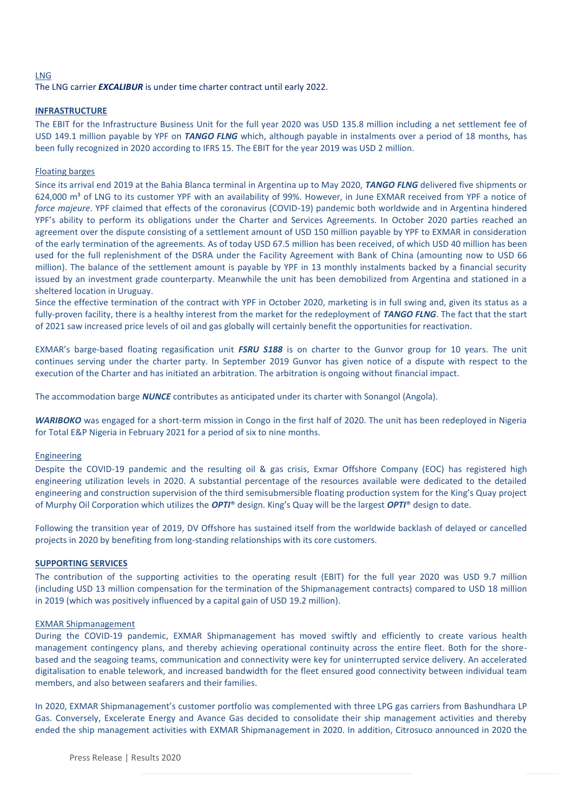#### LNG

#### The LNG carrier *EXCALIBUR* is under time charter contract until early 2022.

#### **INFRASTRUCTURE**

The EBIT for the Infrastructure Business Unit for the full year 2020 was USD 135.8 million including a net settlement fee of USD 149.1 million payable by YPF on *TANGO FLNG* which, although payable in instalments over a period of 18 months, has been fully recognized in 2020 according to IFRS 15. The EBIT for the year 2019 was USD 2 million.

#### Floating barges

Since its arrival end 2019 at the Bahia Blanca terminal in Argentina up to May 2020, *TANGO FLNG* delivered five shipments or 624,000 m<sup>3</sup> of LNG to its customer YPF with an availability of 99%. However, in June EXMAR received from YPF a notice of *force majeure*. YPF claimed that effects of the coronavirus (COVID-19) pandemic both worldwide and in Argentina hindered YPF's ability to perform its obligations under the Charter and Services Agreements. In October 2020 parties reached an agreement over the dispute consisting of a settlement amount of USD 150 million payable by YPF to EXMAR in consideration of the early termination of the agreements. As of today USD 67.5 million has been received, of which USD 40 million has been used for the full replenishment of the DSRA under the Facility Agreement with Bank of China (amounting now to USD 66 million). The balance of the settlement amount is payable by YPF in 13 monthly instalments backed by a financial security issued by an investment grade counterparty. Meanwhile the unit has been demobilized from Argentina and stationed in a sheltered location in Uruguay.

Since the effective termination of the contract with YPF in October 2020, marketing is in full swing and, given its status as a fully-proven facility, there is a healthy interest from the market for the redeployment of *TANGO FLNG*. The fact that the start of 2021 saw increased price levels of oil and gas globally will certainly benefit the opportunities for reactivation.

EXMAR's barge-based floating regasification unit *FSRU S188* is on charter to the Gunvor group for 10 years. The unit continues serving under the charter party. In September 2019 Gunvor has given notice of a dispute with respect to the execution of the Charter and has initiated an arbitration. The arbitration is ongoing without financial impact.

The accommodation barge *NUNCE* contributes as anticipated under its charter with Sonangol (Angola).

*WARIBOKO* was engaged for a short-term mission in Congo in the first half of 2020. The unit has been redeployed in Nigeria for Total E&P Nigeria in February 2021 for a period of six to nine months.

#### **Engineering**

Despite the COVID-19 pandemic and the resulting oil & gas crisis, Exmar Offshore Company (EOC) has registered high engineering utilization levels in 2020. A substantial percentage of the resources available were dedicated to the detailed engineering and construction supervision of the third semisubmersible floating production system for the King's Quay project of Murphy Oil Corporation which utilizes the *OPTI*® design. King's Quay will be the largest *OPTI*® design to date.

Following the transition year of 2019, DV Offshore has sustained itself from the worldwide backlash of delayed or cancelled projects in 2020 by benefiting from long-standing relationships with its core customers.

#### **SUPPORTING SERVICES**

The contribution of the supporting activities to the operating result (EBIT) for the full year 2020 was USD 9.7 million (including USD 13 million compensation for the termination of the Shipmanagement contracts) compared to USD 18 million in 2019 (which was positively influenced by a capital gain of USD 19.2 million).

#### EXMAR Shipmanagement

During the COVID-19 pandemic, EXMAR Shipmanagement has moved swiftly and efficiently to create various health management contingency plans, and thereby achieving operational continuity across the entire fleet. Both for the shorebased and the seagoing teams, communication and connectivity were key for uninterrupted service delivery. An accelerated digitalisation to enable telework, and increased bandwidth for the fleet ensured good connectivity between individual team members, and also between seafarers and their families.

In 2020, EXMAR Shipmanagement's customer portfolio was complemented with three LPG gas carriers from Bashundhara LP Gas. Conversely, Excelerate Energy and Avance Gas decided to consolidate their ship management activities and thereby ended the ship management activities with EXMAR Shipmanagement in 2020. In addition, Citrosuco announced in 2020 the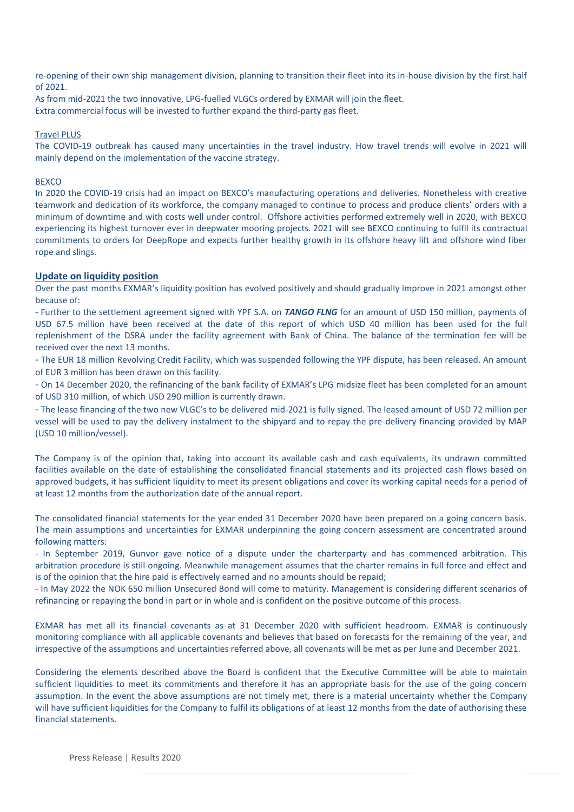re-opening of their own ship management division, planning to transition their fleet into its in-house division by the first half of 2021.

As from mid-2021 the two innovative, LPG-fuelled VLGCs ordered by EXMAR will join the fleet. Extra commercial focus will be invested to further expand the third-party gas fleet.

#### Travel PLUS

The COVID-19 outbreak has caused many uncertainties in the travel industry. How travel trends will evolve in 2021 will mainly depend on the implementation of the vaccine strategy.

#### **BEXCO**

In 2020 the COVID-19 crisis had an impact on BEXCO's manufacturing operations and deliveries. Nonetheless with creative teamwork and dedication of its workforce, the company managed to continue to process and produce clients' orders with a minimum of downtime and with costs well under control. Offshore activities performed extremely well in 2020, with BEXCO experiencing its highest turnover ever in deepwater mooring projects. 2021 will see BEXCO continuing to fulfil its contractual commitments to orders for DeepRope and expects further healthy growth in its offshore heavy lift and offshore wind fiber rope and slings.

### **Update on liquidity position**

Over the past months EXMAR's liquidity position has evolved positively and should gradually improve in 2021 amongst other because of:

- Further to the settlement agreement signed with YPF S.A. on *TANGO FLNG* for an amount of USD 150 million, payments of USD 67.5 million have been received at the date of this report of which USD 40 million has been used for the full replenishment of the DSRA under the facility agreement with Bank of China. The balance of the termination fee will be received over the next 13 months.

- The EUR 18 million Revolving Credit Facility, which was suspended following the YPF dispute, has been released. An amount of EUR 3 million has been drawn on this facility.

- On 14 December 2020, the refinancing of the bank facility of EXMAR's LPG midsize fleet has been completed for an amount of USD 310 million, of which USD 290 million is currently drawn.

- The lease financing of the two new VLGC's to be delivered mid-2021 is fully signed. The leased amount of USD 72 million per vessel will be used to pay the delivery instalment to the shipyard and to repay the pre-delivery financing provided by MAP (USD 10 million/vessel).

The Company is of the opinion that, taking into account its available cash and cash equivalents, its undrawn committed facilities available on the date of establishing the consolidated financial statements and its projected cash flows based on approved budgets, it has sufficient liquidity to meet its present obligations and cover its working capital needs for a period of at least 12 months from the authorization date of the annual report.

The consolidated financial statements for the year ended 31 December 2020 have been prepared on a going concern basis. The main assumptions and uncertainties for EXMAR underpinning the going concern assessment are concentrated around following matters:

- In September 2019, Gunvor gave notice of a dispute under the charterparty and has commenced arbitration. This arbitration procedure is still ongoing. Meanwhile management assumes that the charter remains in full force and effect and is of the opinion that the hire paid is effectively earned and no amounts should be repaid;

- In May 2022 the NOK 650 million Unsecured Bond will come to maturity. Management is considering different scenarios of refinancing or repaying the bond in part or in whole and is confident on the positive outcome of this process.

EXMAR has met all its financial covenants as at 31 December 2020 with sufficient headroom. EXMAR is continuously monitoring compliance with all applicable covenants and believes that based on forecasts for the remaining of the year, and irrespective of the assumptions and uncertainties referred above, all covenants will be met as per June and December 2021.

Considering the elements described above the Board is confident that the Executive Committee will be able to maintain sufficient liquidities to meet its commitments and therefore it has an appropriate basis for the use of the going concern assumption. In the event the above assumptions are not timely met, there is a material uncertainty whether the Company will have sufficient liquidities for the Company to fulfil its obligations of at least 12 months from the date of authorising these financial statements.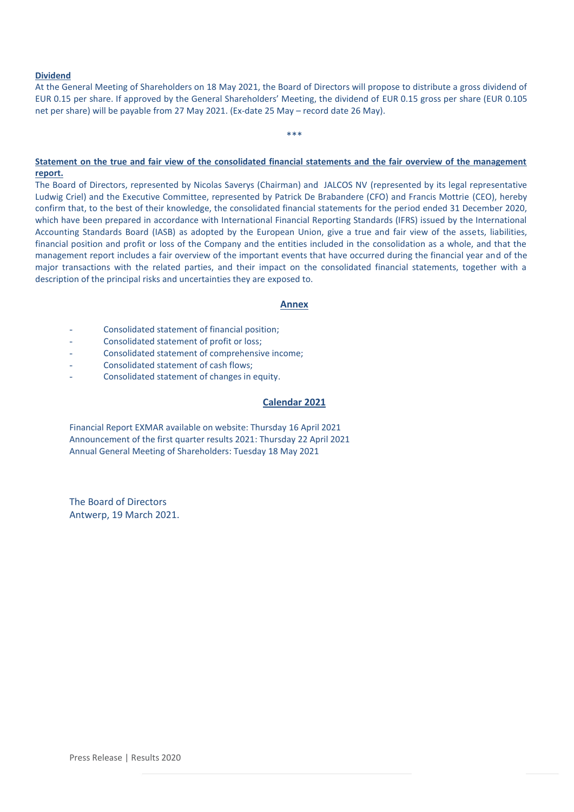#### **Dividend**

At the General Meeting of Shareholders on 18 May 2021, the Board of Directors will propose to distribute a gross dividend of EUR 0.15 per share. If approved by the General Shareholders' Meeting, the dividend of EUR 0.15 gross per share (EUR 0.105 net per share) will be payable from 27 May 2021. (Ex-date 25 May – record date 26 May).

#### \*\*\*

#### **Statement on the true and fair view of the consolidated financial statements and the fair overview of the management report.**

The Board of Directors, represented by Nicolas Saverys (Chairman) and JALCOS NV (represented by its legal representative Ludwig Criel) and the Executive Committee, represented by Patrick De Brabandere (CFO) and Francis Mottrie (CEO), hereby confirm that, to the best of their knowledge, the consolidated financial statements for the period ended 31 December 2020, which have been prepared in accordance with International Financial Reporting Standards (IFRS) issued by the International Accounting Standards Board (IASB) as adopted by the European Union, give a true and fair view of the assets, liabilities, financial position and profit or loss of the Company and the entities included in the consolidation as a whole, and that the management report includes a fair overview of the important events that have occurred during the financial year and of the major transactions with the related parties, and their impact on the consolidated financial statements, together with a description of the principal risks and uncertainties they are exposed to.

#### **Annex**

- Consolidated statement of financial position;
- Consolidated statement of profit or loss;
- Consolidated statement of comprehensive income;
- Consolidated statement of cash flows;
- Consolidated statement of changes in equity.

#### **Calendar 2021**

Financial Report EXMAR available on website: Thursday 16 April 2021 Announcement of the first quarter results 2021: Thursday 22 April 2021 Annual General Meeting of Shareholders: Tuesday 18 May 2021

The Board of Directors Antwerp, 19 March 2021.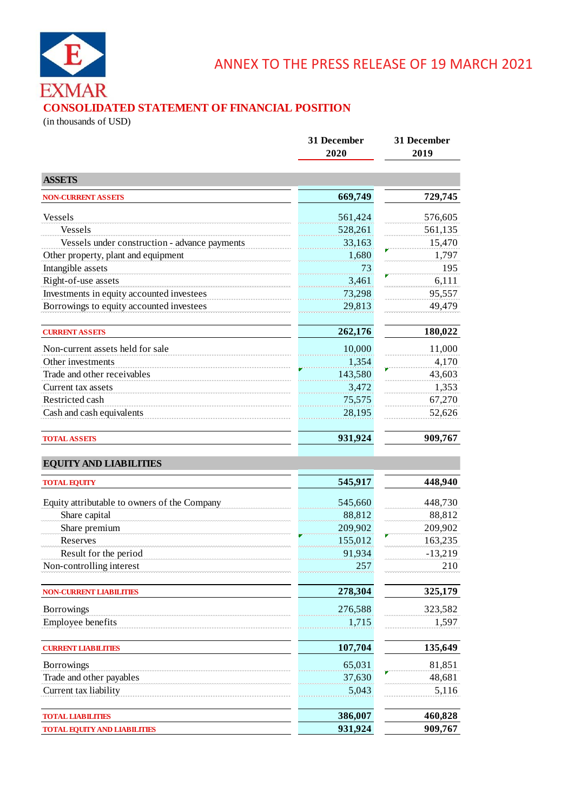

# **CONSOLIDATED STATEMENT OF FINANCIAL POSITION**

(in thousands of USD)

|                                               | 31 December<br>2020 | 31 December<br>2019 |  |
|-----------------------------------------------|---------------------|---------------------|--|
| <b>ASSETS</b>                                 |                     |                     |  |
| <b>NON-CURRENT ASSETS</b>                     | 669,749             | 729,745             |  |
| Vessels                                       | 561,424             | 576,605             |  |
| Vessels                                       | 528,261             | 561,135             |  |
| Vessels under construction - advance payments | 33,163              | 15,470              |  |
| Other property, plant and equipment           | 1,680               | 1,797               |  |
| Intangible assets                             | 73                  | 195                 |  |
| Right-of-use assets                           | 3,461               | 6,111               |  |
| Investments in equity accounted investees     | 73,298              | 95,557              |  |
| Borrowings to equity accounted investees      | 29,813              | 49,479              |  |
| <b>CURRENT ASSETS</b>                         | 262,176             | 180,022             |  |
| Non-current assets held for sale              | 10,000              | 11,000              |  |
| Other investments                             | 1,354               | 4,170               |  |
| Trade and other receivables                   | 143,580             | 43,603              |  |
| Current tax assets                            | 3,472               | 1,353               |  |
| Restricted cash                               | 75,575              | 67,270              |  |
| Cash and cash equivalents                     | 28,195              | 52,626              |  |
| <b>TOTAL ASSETS</b>                           | 931,924             | 909,767             |  |
| <b>EQUITY AND LIABILITIES</b>                 |                     |                     |  |
| <b>TOTAL EQUITY</b>                           | 545,917             | 448,940             |  |
| Equity attributable to owners of the Company  | 545,660             | 448,730             |  |
| Share capital                                 | 88,812              | 88,812              |  |
| Share premium                                 | 209,902             | 209,902             |  |
| Reserves                                      | 155,012             | 163,235             |  |
| Result for the period                         | 91,934              | $-13,219$           |  |
| Non-controlling interest                      | 257                 | 210                 |  |
| <b>NON-CURRENT LIABILITIES</b>                | 278,304             | 325,179             |  |
| Borrowings                                    | 276,588             | 323,582             |  |
| Employee benefits                             | 1,715               | 1,597               |  |
|                                               |                     |                     |  |
| <b>CURRENT LIABILITIES</b>                    | 107,704             | 135,649             |  |
| Borrowings                                    | 65,031              | 81,851              |  |
| Trade and other payables                      | 37,630              | 48,681              |  |
| Current tax liability                         | 5,043               | 5,116               |  |
| <b>TOTAL LIABILITIES</b>                      | 386,007             | 460,828             |  |
| <b>TOTAL EQUITY AND LIABILITIES</b>           | 931,924             | 909,767             |  |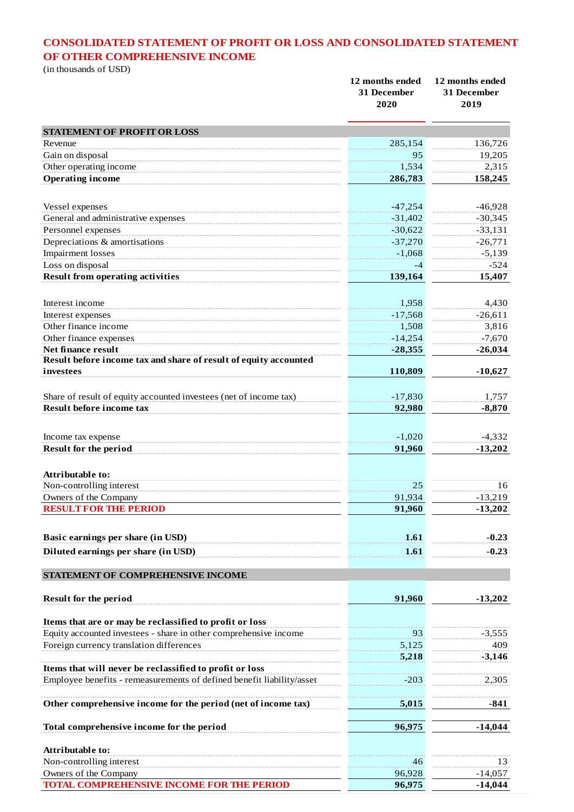# **CONSOLIDATED STATEMENT OF PROFIT OR LOSS AND CONSOLIDATED STATEMENT OF OTHER COMPREHENSIVE INCOME**

(in thousands of USD)

| $\mu$ cho distances of $\sigma$                                               | 12 months ended<br>31 December<br>2020 | 12 months ended<br>31 December<br>2019 |
|-------------------------------------------------------------------------------|----------------------------------------|----------------------------------------|
| <b>STATEMENT OF PROFIT OR LOSS</b>                                            |                                        |                                        |
| Revenue                                                                       | 285,154                                | 136,726                                |
| Gain on disposal                                                              | 95                                     | 19,205                                 |
| Other operating income                                                        | 1,534                                  | 2,315                                  |
| <b>Operating income</b>                                                       | 286,783                                | 158,245                                |
| Vessel expenses                                                               | $-47,254$                              | $-46,928$                              |
| General and administrative expenses                                           | $-31,402$                              | $-30,345$                              |
| Personnel expenses                                                            | $-30,622$                              | $-33,131$                              |
| Depreciations & amortisations                                                 | $-37,270$                              | $-26,771$                              |
| <b>Impairment</b> losses                                                      | $-1,068$                               | $-5,139$                               |
| Loss on disposal                                                              | -4                                     | $-524$                                 |
| <b>Result from operating activities</b>                                       | 139,164                                | 15,407                                 |
| Interest income                                                               | 1,958                                  | 4,430                                  |
| Interest expenses                                                             | $-17,568$                              | $-26,611$                              |
| Other finance income                                                          | 1,508                                  | 3,816                                  |
| Other finance expenses                                                        | $-14,254$                              | $-7,670$                               |
| Net finance result                                                            | $-28,355$                              | $-26,034$                              |
| Result before income tax and share of result of equity accounted<br>investees | 110,809                                | $-10,627$                              |
|                                                                               |                                        |                                        |
| Share of result of equity accounted investees (net of income tax)             | $-17,830$                              | 1,757                                  |
| <b>Result before income tax</b>                                               | 92,980                                 | $-8,870$                               |
| Income tax expense                                                            | $-1,020$                               | $-4,332$                               |
| Result for the period                                                         | 91,960                                 | $-13,202$                              |
| Attributable to:                                                              |                                        |                                        |
| Non-controlling interest                                                      | 25                                     | 16                                     |
| Owners of the Company                                                         | 91,934                                 | $-13,219$                              |
| <b>RESULT FOR THE PERIOD</b>                                                  | 91,960                                 | $-13,202$                              |
| Basic earnings per share (in USD)                                             | 1.61                                   | $-0.23$                                |
| Diluted earnings per share (in USD)                                           | 1.61                                   | $-0.23$                                |
| STATEMENT OF COMPREHENSIVE INCOME                                             |                                        |                                        |
| Result for the period                                                         | 91,960                                 | $-13,202$                              |
| Items that are or may be reclassified to profit or loss                       |                                        |                                        |
| Equity accounted investees - share in other comprehensive income              | 93                                     | $-3,555$                               |
| Foreign currency translation differences                                      | 5,125                                  | 409                                    |
|                                                                               | 5,218                                  | $-3,146$                               |
| Items that will never be reclassified to profit or loss                       |                                        |                                        |
| Employee benefits - remeasurements of defined benefit liability/asset         | $-203$                                 | 2,305                                  |
| Other comprehensive income for the period (net of income tax)                 | 5,015                                  | $-841$                                 |
| Total comprehensive income for the period                                     | 96,975                                 | $-14,044$                              |
| Attributable to:                                                              |                                        |                                        |
| Non-controlling interest                                                      | 46                                     | 13                                     |
| Owners of the Company                                                         | 96,928                                 | $-14,057$                              |
| <b>TOTAL COMPREHENSIVE INCOME FOR THE PERIOD</b>                              | 96,975                                 | $-14,044$                              |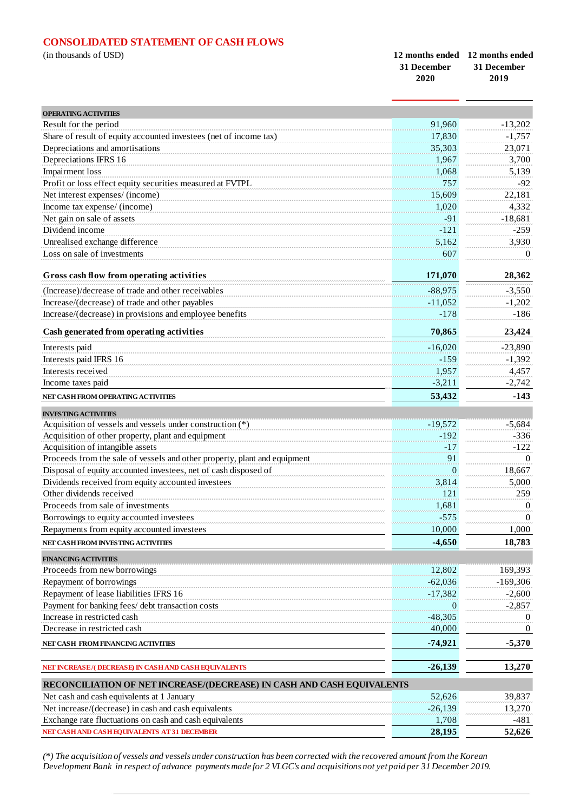# **CONSOLIDATED STATEMENT OF CASH FLOWS**

| (in thousands of USD) | 12 months ended 12 months ended |             |
|-----------------------|---------------------------------|-------------|
|                       | - 31 December                   | 31 December |
|                       | 2020                            | 2019        |

| <b>OPERATING ACTIVITIES</b>                                               |                |                       |
|---------------------------------------------------------------------------|----------------|-----------------------|
| Result for the period                                                     | 91,960         | $-13,202$             |
| Share of result of equity accounted investees (net of income tax)         | 17,830         | $-1,757$              |
| Depreciations and amortisations                                           | 35,303         | 23,071                |
| Depreciations IFRS 16                                                     | 1.967          | 3,700                 |
| <b>Impairment</b> loss                                                    | 1.068          | 5,139                 |
| Profit or loss effect equity securities measured at FVTPL                 | 757            | $-92$                 |
| Net interest expenses/ (income)                                           | 15,609         | 22,181                |
| Income tax expense/ (income)                                              | 1,020          |                       |
|                                                                           | $-91$          | 4,332                 |
| Net gain on sale of assets<br>Dividend income                             | $-121$         | $-18,681$<br>$-259$   |
|                                                                           |                |                       |
| Unrealised exchange difference                                            | 5,162          | 3,930                 |
| Loss on sale of investments                                               | 607            | $\Omega$              |
| Gross cash flow from operating activities                                 | 171,070        | 28,362                |
| (Increase)/decrease of trade and other receivables                        | $-88,975$      | $-3,550$              |
| Increase/(decrease) of trade and other payables                           | $-11,052$      | $-1,202$              |
| Increase/(decrease) in provisions and employee benefits                   | $-178$         | $-186$                |
|                                                                           |                |                       |
| Cash generated from operating activities                                  | 70,865         | 23,424                |
| Interests paid                                                            | $-16,020$      | $-23,890$             |
| Interests paid IFRS 16                                                    | $-159$         | $-1,392$              |
| Interests received                                                        | 1,957          | 4,457                 |
| Income taxes paid                                                         | $-3,211$       | $-2,742$              |
| NET CASH FROM OPERATING ACTIVITIES                                        | 53,432         | $-143$                |
| <b>INVESTING ACTIVITIES</b>                                               |                |                       |
| Acquisition of vessels and vessels under construction $(*)$               | $-19,572$      | $-5,684$              |
| Acquisition of other property, plant and equipment                        | $-192$         | $-336$                |
| Acquisition of intangible assets                                          | $-17$          | $-122$                |
| Proceeds from the sale of vessels and other property, plant and equipment | 91             | $\theta$              |
| Disposal of equity accounted investees, net of cash disposed of           | $\overline{0}$ | 18,667                |
| Dividends received from equity accounted investees                        | 3,814          | 5,000                 |
| Other dividends received                                                  | 121            | 259                   |
| Proceeds from sale of investments                                         | 1,681          | $\theta$              |
| Borrowings to equity accounted investees                                  | $-575$         | $\Omega$              |
| Repayments from equity accounted investees                                | 10,000         | 1,000                 |
| NET CASH FROM INVESTING ACTIVITIES                                        | $-4,650$       | 18,783                |
|                                                                           |                |                       |
| <b>FINANCING ACTIVITIES</b>                                               |                |                       |
| Proceeds from new borrowings<br>Repayment of borrowings                   | 12,802         | 169,393<br>$-169,306$ |
|                                                                           | $-62,036$      |                       |
| Repayment of lease liabilities IFRS 16                                    | $-17,382$      | $-2,600$              |
| Payment for banking fees/ debt transaction costs                          | $\bf{0}$       | $-2,857$              |
| Increase in restricted cash                                               | $-48,305$      | $\theta$              |
| Decrease in restricted cash                                               | 40,000         | $\theta$              |
| NET CASH FROM FINANCING ACTIVITIES                                        | $-74,921$      | $-5,370$              |
| NET INCREASE/(DECREASE) IN CASH AND CASH EQUIVALENTS                      | $-26,139$      | 13,270                |
| RECONCILIATION OF NET INCREASE/(DECREASE) IN CASH AND CASH EQUIVALENTS    |                |                       |
| Net cash and cash equivalents at 1 January                                | 52,626         | 39,837                |
| Net increase/(decrease) in cash and cash equivalents                      | $-26,139$      | 13,270                |
| Exchange rate fluctuations on cash and cash equivalents                   | 1,708          | -481                  |
| NET CASH AND CASH EQUIVALENTS AT 31 DECEMBER                              | 28,195         | 52,626                |

*(\*) The acquisition of vessels and vessels under construction has been corrected with the recovered amount from the Korean Development Bank in respect of advance payments made for 2 VLGC's and acquisitions not yet paid per 31 December 2019.*